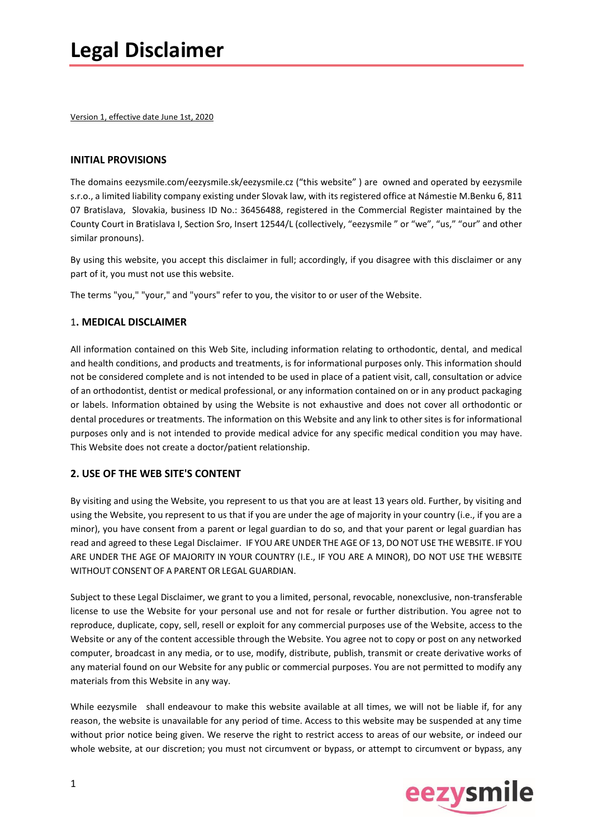Version 1, effective date June 1st, 2020

#### **INITIAL PROVISIONS**

The domains eezysmile.com/eezysmile.sk/eezysmile.cz ("this website" ) are owned and operated by eezysmile s.r.o., a limited liability company existing under Slovak law, with its registered office at Námestie M.Benku 6, 811 07 Bratislava, Slovakia, business ID No.: 36456488, registered in the Commercial Register maintained by the County Court in Bratislava I, Section Sro, Insert 12544/L (collectively, "eezysmile " or "we", "us," "our" and other similar pronouns).

By using this website, you accept this disclaimer in full; accordingly, if you disagree with this disclaimer or any part of it, you must not use this website.

The terms "you," "your," and "yours" refer to you, the visitor to or user of the Website.

#### 1**. MEDICAL DISCLAIMER**

All information contained on this Web Site, including information relating to orthodontic, dental, and medical and health conditions, and products and treatments, is for informational purposes only. This information should not be considered complete and is not intended to be used in place of a patient visit, call, consultation or advice of an orthodontist, dentist or medical professional, or any information contained on or in any product packaging or labels. Information obtained by using the Website is not exhaustive and does not cover all orthodontic or dental procedures or treatments. The information on this Website and any link to other sites is for informational purposes only and is not intended to provide medical advice for any specific medical condition you may have. This Website does not create a doctor/patient relationship.

#### **2. USE OF THE WEB SITE'S CONTENT**

By visiting and using the Website, you represent to us that you are at least 13 years old. Further, by visiting and using the Website, you represent to us that if you are under the age of majority in your country (i.e., if you are a minor), you have consent from a parent or legal guardian to do so, and that your parent or legal guardian has read and agreed to these Legal Disclaimer. IF YOU ARE UNDER THE AGE OF 13, DO NOT USE THE WEBSITE. IF YOU ARE UNDER THE AGE OF MAJORITY IN YOUR COUNTRY (I.E., IF YOU ARE A MINOR), DO NOT USE THE WEBSITE WITHOUT CONSENT OF A PARENT OR LEGAL GUARDIAN.

Subject to these Legal Disclaimer, we grant to you a limited, personal, revocable, nonexclusive, non-transferable license to use the Website for your personal use and not for resale or further distribution. You agree not to reproduce, duplicate, copy, sell, resell or exploit for any commercial purposes use of the Website, access to the Website or any of the content accessible through the Website. You agree not to copy or post on any networked computer, broadcast in any media, or to use, modify, distribute, publish, transmit or create derivative works of any material found on our Website for any public or commercial purposes. You are not permitted to modify any materials from this Website in any way.

While eezysmile shall endeavour to make this website available at all times, we will not be liable if, for any reason, the website is unavailable for any period of time. Access to this website may be suspended at any time without prior notice being given. We reserve the right to restrict access to areas of our website, or indeed our whole website, at our discretion; you must not circumvent or bypass, or attempt to circumvent or bypass, any

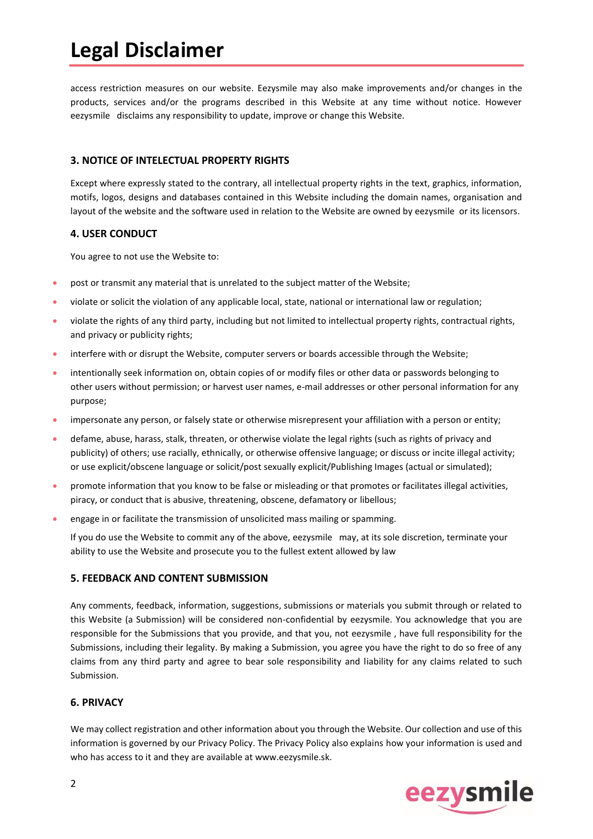# **Legal Disclaimer**

access restriction measures on our website. Eezysmile may also make improvements and/or changes in the products, services and/or the programs described in this Website at any time without notice. However eezysmile disclaims any responsibility to update, improve or change this Website.

#### **3. NOTICE OF INTELECTUAL PROPERTY RIGHTS**

Except where expressly stated to the contrary, all intellectual property rights in the text, graphics, information, motifs, logos, designs and databases contained in this Website including the domain names, organisation and layout of the website and the software used in relation to the Website are owned by eezysmile or its licensors.

#### **4. USER CONDUCT**

You agree to not use the Website to:

- post or transmit any material that is unrelated to the subject matter of the Website;
- violate or solicit the violation of any applicable local, state, national or international law or regulation;
- violate the rights of any third party, including but not limited to intellectual property rights, contractual rights, and privacy or publicity rights;
- interfere with or disrupt the Website, computer servers or boards accessible through the Website;
- intentionally seek information on, obtain copies of or modify files or other data or passwords belonging to other users without permission; or harvest user names, e-mail addresses or other personal information for any purpose;
- impersonate any person, or falsely state or otherwise misrepresent your affiliation with a person or entity;
- defame, abuse, harass, stalk, threaten, or otherwise violate the legal rights (such as rights of privacy and publicity) of others; use racially, ethnically, or otherwise offensive language; or discuss or incite illegal activity; or use explicit/obscene language or solicit/post sexually explicit/Publishing Images (actual or simulated);
- promote information that you know to be false or misleading or that promotes or facilitates illegal activities, piracy, or conduct that is abusive, threatening, obscene, defamatory or libellous;
- engage in or facilitate the transmission of unsolicited mass mailing or spamming.

If you do use the Website to commit any of the above, eezysmile may, at its sole discretion, terminate your ability to use the Website and prosecute you to the fullest extent allowed by law

#### **5. FEEDBACK AND CONTENT SUBMISSION**

Any comments, feedback, information, suggestions, submissions or materials you submit through or related to this Website (a Submission) will be considered non-confidential by eezysmile. You acknowledge that you are responsible for the Submissions that you provide, and that you, not eezysmile , have full responsibility for the Submissions, including their legality. By making a Submission, you agree you have the right to do so free of any claims from any third party and agree to bear sole responsibility and liability for any claims related to such Submission.

#### **6. PRIVACY**

We may collect registration and other information about you through the Website. Our collection and use of this information is governed by our Privacy Policy. The Privacy Policy also explains how your information is used and who has access to it and they are available at www.eezysmile.sk.

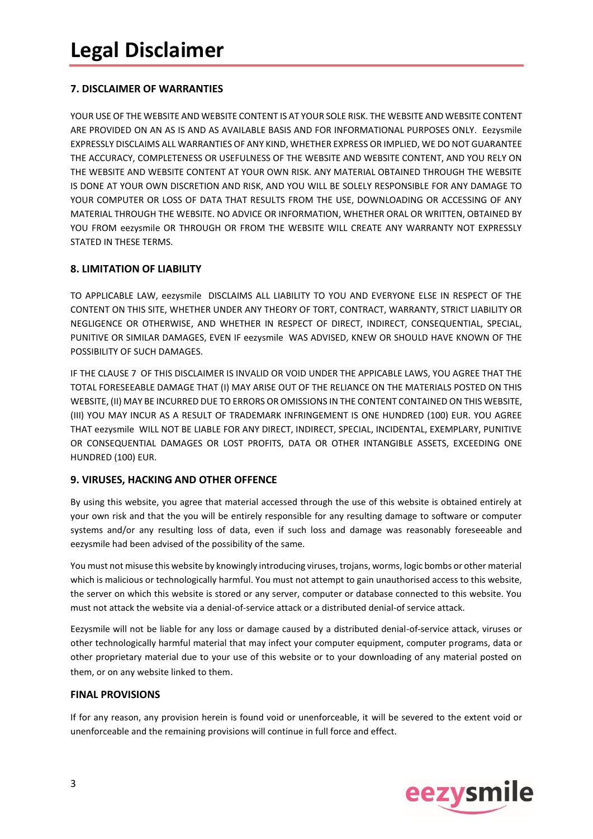# **7. DISCLAIMER OF WARRANTIES**

YOUR USE OF THE WEBSITE AND WEBSITE CONTENT IS AT YOUR SOLE RISK. THE WEBSITE AND WEBSITE CONTENT ARE PROVIDED ON AN AS IS AND AS AVAILABLE BASIS AND FOR INFORMATIONAL PURPOSES ONLY. Eezysmile EXPRESSLY DISCLAIMS ALL WARRANTIES OF ANY KIND, WHETHER EXPRESS OR IMPLIED, WE DO NOT GUARANTEE THE ACCURACY, COMPLETENESS OR USEFULNESS OF THE WEBSITE AND WEBSITE CONTENT, AND YOU RELY ON THE WEBSITE AND WEBSITE CONTENT AT YOUR OWN RISK. ANY MATERIAL OBTAINED THROUGH THE WEBSITE IS DONE AT YOUR OWN DISCRETION AND RISK, AND YOU WILL BE SOLELY RESPONSIBLE FOR ANY DAMAGE TO YOUR COMPUTER OR LOSS OF DATA THAT RESULTS FROM THE USE, DOWNLOADING OR ACCESSING OF ANY MATERIAL THROUGH THE WEBSITE. NO ADVICE OR INFORMATION, WHETHER ORAL OR WRITTEN, OBTAINED BY YOU FROM eezysmile OR THROUGH OR FROM THE WEBSITE WILL CREATE ANY WARRANTY NOT EXPRESSLY STATED IN THESE TERMS.

### **8. LIMITATION OF LIABILITY**

TO APPLICABLE LAW, eezysmile DISCLAIMS ALL LIABILITY TO YOU AND EVERYONE ELSE IN RESPECT OF THE CONTENT ON THIS SITE, WHETHER UNDER ANY THEORY OF TORT, CONTRACT, WARRANTY, STRICT LIABILITY OR NEGLIGENCE OR OTHERWISE, AND WHETHER IN RESPECT OF DIRECT, INDIRECT, CONSEQUENTIAL, SPECIAL, PUNITIVE OR SIMILAR DAMAGES, EVEN IF eezysmile WAS ADVISED, KNEW OR SHOULD HAVE KNOWN OF THE POSSIBILITY OF SUCH DAMAGES.

IF THE CLAUSE 7 OF THIS DISCLAIMER IS INVALID OR VOID UNDER THE APPICABLE LAWS, YOU AGREE THAT THE TOTAL FORESEEABLE DAMAGE THAT (I) MAY ARISE OUT OF THE RELIANCE ON THE MATERIALS POSTED ON THIS WEBSITE, (II) MAY BE INCURRED DUE TO ERRORS OR OMISSIONS IN THE CONTENT CONTAINED ON THIS WEBSITE, (III) YOU MAY INCUR AS A RESULT OF TRADEMARK INFRINGEMENT IS ONE HUNDRED (100) EUR. YOU AGREE THAT eezysmile WILL NOT BE LIABLE FOR ANY DIRECT, INDIRECT, SPECIAL, INCIDENTAL, EXEMPLARY, PUNITIVE OR CONSEQUENTIAL DAMAGES OR LOST PROFITS, DATA OR OTHER INTANGIBLE ASSETS, EXCEEDING ONE HUNDRED (100) EUR.

## **9. VIRUSES, HACKING AND OTHER OFFENCE**

By using this website, you agree that material accessed through the use of this website is obtained entirely at your own risk and that the you will be entirely responsible for any resulting damage to software or computer systems and/or any resulting loss of data, even if such loss and damage was reasonably foreseeable and eezysmile had been advised of the possibility of the same.

You must not misuse this website by knowingly introducing viruses, trojans, worms, logic bombs or other material which is malicious or technologically harmful. You must not attempt to gain unauthorised access to this website, the server on which this website is stored or any server, computer or database connected to this website. You must not attack the website via a denial-of-service attack or a distributed denial-of service attack.

Eezysmile will not be liable for any loss or damage caused by a distributed denial-of-service attack, viruses or other technologically harmful material that may infect your computer equipment, computer programs, data or other proprietary material due to your use of this website or to your downloading of any material posted on them, or on any website linked to them.

#### **FINAL PROVISIONS**

If for any reason, any provision herein is found void or unenforceable, it will be severed to the extent void or unenforceable and the remaining provisions will continue in full force and effect.